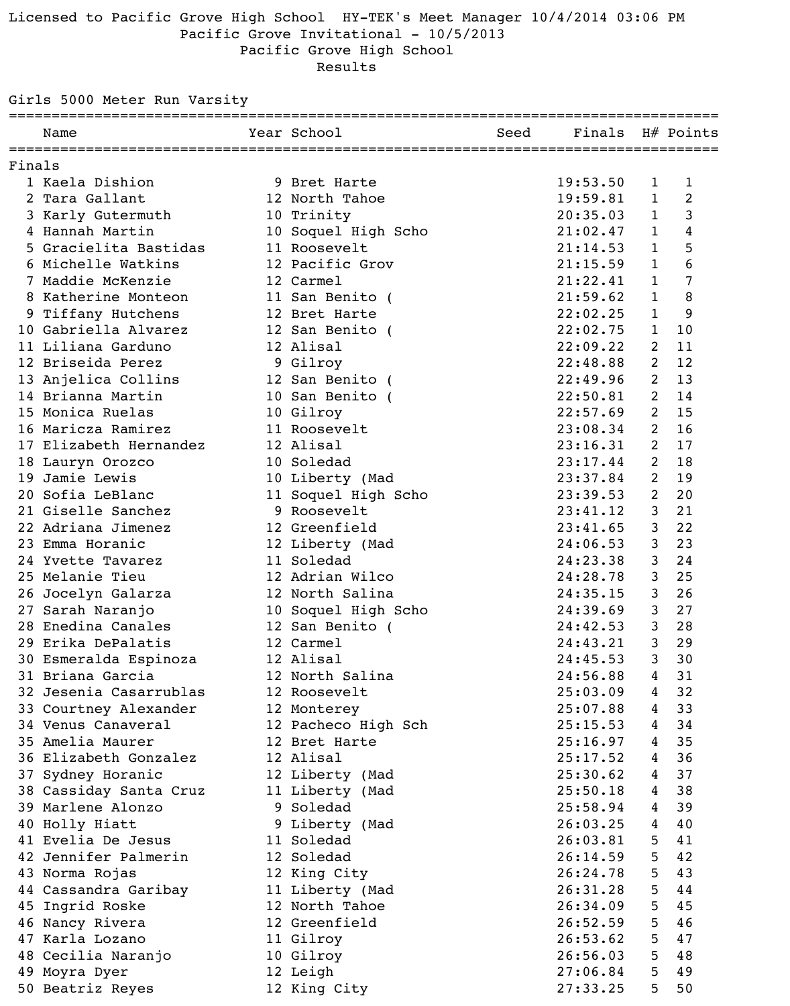### Licensed to Pacific Grove High School HY-TEK's Meet Manager 10/4/2014 03:06 PM Pacific Grove Invitational - 10/5/2013 Pacific Grove High School

Results

Girls 5000 Meter Run Varsity

|        | Name                                | Year School         | Seed | Finals H# Points |                |    |
|--------|-------------------------------------|---------------------|------|------------------|----------------|----|
| Finals |                                     |                     |      |                  |                |    |
|        | 1 Kaela Dishion                     | 9 Bret Harte        |      | 19:53.50         | $\mathbf 1$    | 1  |
|        | 2 Tara Gallant                      | 12 North Tahoe      |      | 19:59.81         | $\mathbf{1}$   | 2  |
|        | 3 Karly Gutermuth                   | 10 Trinity          |      | 20:35.03         | $\mathbf{1}$   | 3  |
|        | 4 Hannah Martin                     | 10 Soquel High Scho |      | 21:02.47         | $\mathbf{1}$   | 4  |
|        | 5 Gracielita Bastidas               | 11 Roosevelt        |      | 21:14.53         | $\mathbf{1}$   | 5  |
|        | 6 Michelle Watkins                  | 12 Pacific Grov     |      | 21:15.59         | $\mathbf{1}$   | 6  |
|        | 7 Maddie McKenzie                   | 12 Carmel           |      | 21:22.41         | $\mathbf{1}$   | 7  |
|        | 8 Katherine Monteon                 | 11 San Benito (     |      | 21:59.62         | $\mathbf{1}$   | 8  |
|        | 9 Tiffany Hutchens                  | 12 Bret Harte       |      | 22:02.25         | $\mathbf{1}$   | 9  |
|        | 10 Gabriella Alvarez                | 12 San Benito (     |      | 22:02.75         | $\mathbf{1}$   | 10 |
|        | 11 Liliana Garduno                  | 12 Alisal           |      | 22:09.22         | 2              | 11 |
|        | 12 Briseida Perez                   | 9 Gilroy            |      | 22:48.88         | 2              | 12 |
|        | 13 Anjelica Collins 12 San Benito ( |                     |      | 22:49.96         | $\overline{2}$ | 13 |
|        | 14 Brianna Martin                   | 10 San Benito (     |      | 22:50.81         | 2              | 14 |
|        | 15 Monica Ruelas                    | 10 Gilroy           |      | 22:57.69         | 2              | 15 |
|        | 16 Maricza Ramirez                  | 11 Roosevelt        |      | 23:08.34         | $\overline{2}$ | 16 |
|        | 17 Elizabeth Hernandez              | 12 Alisal           |      | 23:16.31         | $\overline{2}$ | 17 |
|        | 18 Lauryn Orozco                    | 10 Soledad          |      | 23:17.44         | 2              | 18 |
|        | 19 Jamie Lewis                      | 10 Liberty (Mad     |      | 23:37.84         | $\overline{2}$ | 19 |
|        | 20 Sofia LeBlanc                    | 11 Soquel High Scho |      | 23:39.53         | 2              | 20 |
|        | 21 Giselle Sanchez                  | 9 Roosevelt         |      | 23:41.12         | 3              | 21 |
|        | 22 Adriana Jimenez                  | 12 Greenfield       |      | 23:41.65         | 3              | 22 |
|        | 23 Emma Horanic                     | 12 Liberty (Mad     |      | 24:06.53         | 3              | 23 |
|        | 24 Yvette Tavarez                   | 11 Soledad          |      | 24:23.38         | 3              | 24 |
|        | 25 Melanie Tieu                     | 12 Adrian Wilco     |      | 24:28.78         | 3              | 25 |
|        | 26 Jocelyn Galarza                  | 12 North Salina     |      | 24:35.15         | 3              | 26 |
|        | 27 Sarah Naranjo                    | 10 Soquel High Scho |      | 24:39.69         | 3              | 27 |
|        | 28 Enedina Canales                  | 12 San Benito (     |      | 24:42.53         | $\mathfrak{Z}$ | 28 |
|        | 29 Erika DePalatis                  | 12 Carmel           |      | 24:43.21         | 3              | 29 |
|        | 30 Esmeralda Espinoza               | 12 Alisal           |      | 24:45.53         | 3              | 30 |
|        | 31 Briana Garcia                    | 12 North Salina     |      | 24:56.88         | 4              | 31 |
|        | 32 Jesenia Casarrublas              | 12 Roosevelt        |      | 25:03.09         | $\overline{4}$ | 32 |
|        | 33 Courtney Alexander               | 12 Monterey         |      | 25:07.88         | $\overline{4}$ | 33 |
|        | 34 Venus Canaveral                  | 12 Pacheco High Sch |      | 25:15.53         | $\overline{4}$ | 34 |
|        | 35 Amelia Maurer                    | 12 Bret Harte       |      | 25:16.97         | 4              | 35 |
|        | 36 Elizabeth Gonzalez               | 12 Alisal           |      | 25:17.52         | $\overline{4}$ | 36 |
|        | 37 Sydney Horanic                   | 12 Liberty (Mad     |      | 25:30.62         | 4 <sup>1</sup> | 37 |
|        | 38 Cassiday Santa Cruz              | 11 Liberty (Mad     |      | 25:50.18         | $\overline{4}$ | 38 |
|        | 39 Marlene Alonzo                   | 9 Soledad           |      | 25:58.94         | 4              | 39 |
|        | 40 Holly Hiatt                      | 9 Liberty (Mad      |      | 26:03.25         | $\overline{4}$ | 40 |
|        | 41 Evelia De Jesus                  | 11 Soledad          |      | 26:03.81         | 5 <sub>o</sub> | 41 |
|        | 42 Jennifer Palmerin                | 12 Soledad          |      | 26:14.59         | 5              | 42 |
|        | 43 Norma Rojas                      | 12 King City        |      | 26:24.78         | 5              | 43 |
|        | 44 Cassandra Garibay                | 11 Liberty (Mad     |      | 26:31.28         | 5              | 44 |
|        | 45 Ingrid Roske                     | 12 North Tahoe      |      | 26:34.09         | 5              | 45 |
|        | 46 Nancy Rivera                     | 12 Greenfield       |      | 26:52.59         | 5              | 46 |
|        | 47 Karla Lozano                     | 11 Gilroy           |      | 26:53.62         | 5              | 47 |
|        | 48 Cecilia Naranjo                  | 10 Gilroy           |      | 26:56.03         | 5              | 48 |
|        | 49 Moyra Dyer                       | 12 Leigh            |      | 27:06.84         | 5              | 49 |
|        | 50 Beatriz Reyes                    | 12 King City        |      | 27:33.25         | 5              | 50 |
|        |                                     |                     |      |                  |                |    |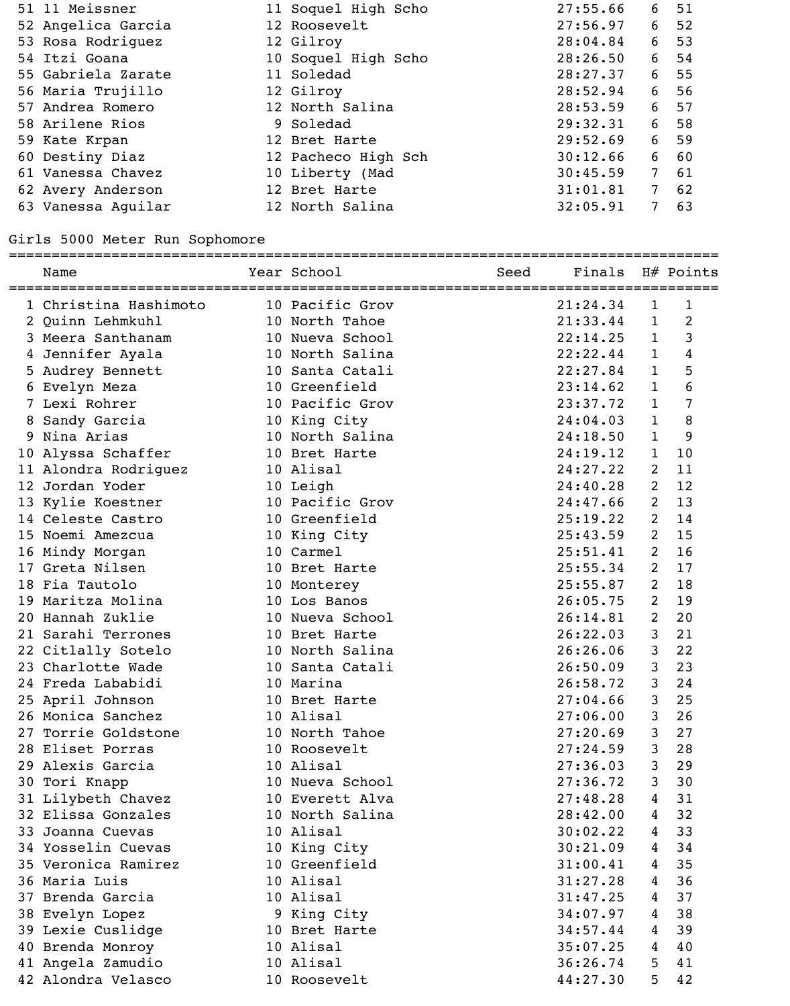| 51 11 Meissner     | 11 Soquel High Scho | 27:55.66 |                 | 6 51 |
|--------------------|---------------------|----------|-----------------|------|
| 52 Angelica Garcia | 12 Roosevelt        | 27:56.97 | 6               | 52   |
| 53 Rosa Rodriquez  | 12 Gilroy           | 28:04.84 | 6               | 53   |
| 54 Itzi Goana      | 10 Soquel High Scho | 28:26.50 | 6               | - 54 |
| 55 Gabriela Zarate | 11 Soledad          | 28:27.37 | 6               | 55   |
| 56 Maria Trujillo  | 12 Gilroy           | 28:52.94 | $6\overline{6}$ | 56   |
| 57 Andrea Romero   | 12 North Salina     | 28:53.59 |                 | 6 57 |
| 58 Arilene Rios    | 9 Soledad           | 29:32.31 |                 | 6 58 |
| 59 Kate Krpan      | 12 Bret Harte       | 29:52.69 | 6               | 59   |
| 60 Destiny Diaz    | 12 Pacheco High Sch | 30:12.66 | 6               | 60   |
| 61 Vanessa Chavez  | 10 Liberty (Mad     | 30:45.59 | 7 <sup>7</sup>  | 61   |
| 62 Avery Anderson  | 12 Bret Harte       | 31:01.81 | 7 <sup>7</sup>  | 62   |
| 63 Vanessa Aquilar | 12 North Salina     | 32:05.91 | 7               | 63   |

## Girls 5000 Meter Run Sophomore

|    | Name                  | Year School     | Seed | Finals H# Points |                |                |
|----|-----------------------|-----------------|------|------------------|----------------|----------------|
|    | 1 Christina Hashimoto | 10 Pacific Grov |      | 21:24.34         | $\mathbf{1}$   | 1              |
|    | 2 Ouinn Lehmkuhl      | 10 North Tahoe  |      | 21:33.44         | $\mathbf{1}$   | $\overline{2}$ |
|    | 3 Meera Santhanam     | 10 Nueva School |      | 22:14.25         | $\mathbf{1}$   | 3              |
|    | 4 Jennifer Ayala      | 10 North Salina |      | 22:22.44         | $\mathbf{1}$   | $\overline{4}$ |
|    | 5 Audrey Bennett      | 10 Santa Catali |      | 22:27.84         | $\mathbf{1}$   | 5              |
|    | 6 Evelyn Meza         | 10 Greenfield   |      | 23:14.62         | $\mathbf{1}$   | 6              |
|    | 7 Lexi Rohrer         | 10 Pacific Grov |      | 23:37.72         | $\mathbf{1}$   | 7              |
|    | 8 Sandy Garcia        | 10 King City    |      | 24:04.03         | $\mathbf{1}$   | 8              |
|    | 9 Nina Arias          | 10 North Salina |      | 24:18.50         | $\mathbf{1}$   | 9              |
|    | 10 Alyssa Schaffer    | 10 Bret Harte   |      | 24:19.12         | $\mathbf{1}$   | 10             |
|    | 11 Alondra Rodriguez  | 10 Alisal       |      | 24:27.22         | 2              | 11             |
|    | 12 Jordan Yoder       | 10 Leigh        |      | 24:40.28         | 2              | 12             |
|    | 13 Kylie Koestner     | 10 Pacific Grov |      | 24:47.66         | 2              | 13             |
|    | 14 Celeste Castro     | 10 Greenfield   |      | 25:19.22         | 2              | 14             |
|    | 15 Noemi Amezcua      | 10 King City    |      | 25:43.59         | 2              | 15             |
|    | 16 Mindy Morgan       | 10 Carmel       |      | 25:51.41         | 2              | 16             |
|    | 17 Greta Nilsen       | 10 Bret Harte   |      | 25:55.34         | 2              | 17             |
|    | 18 Fia Tautolo        | 10 Monterey     |      | 25:55.87         | 2              | 18             |
|    | 19 Maritza Molina     | 10 Los Banos    |      | 26:05.75         | 2              | 19             |
|    | 20 Hannah Zuklie      | 10 Nueva School |      | 26:14.81         | 2              | 20             |
|    | 21 Sarahi Terrones    | 10 Bret Harte   |      | 26:22.03         | 3              | 21             |
|    | 22 Citlally Sotelo    | 10 North Salina |      | 26:26.06         | 3              | 22             |
|    | 23 Charlotte Wade     | 10 Santa Catali |      | 26:50.09         | 3              | 23             |
|    | 24 Freda Lababidi     | 10 Marina       |      | 26:58.72         | 3              | 24             |
|    | 25 April Johnson      | 10 Bret Harte   |      | 27:04.66         | 3              | 25             |
|    | 26 Monica Sanchez     | 10 Alisal       |      | 27:06.00         | 3              | 26             |
| 27 | Torrie Goldstone      | 10 North Tahoe  |      | 27:20.69         | 3              | 27             |
|    | 28 Eliset Porras      | 10 Roosevelt    |      | 27:24.59         | 3              | 28             |
|    | 29 Alexis Garcia      | 10 Alisal       |      | 27:36.03         | 3              | 29             |
|    | 30 Tori Knapp         | 10 Nueva School |      | 27:36.72         | 3              | 30             |
|    | 31 Lilybeth Chavez    | 10 Everett Alva |      | 27:48.28         | $\overline{4}$ | 31             |
|    | 32 Elissa Gonzales    | 10 North Salina |      | 28:42.00         | $\overline{4}$ | 32             |
|    | 33 Joanna Cuevas      | 10 Alisal       |      | 30:02.22         | $\overline{4}$ | 33             |
|    | 34 Yosselin Cuevas    | 10 King City    |      | 30:21.09         | $\overline{4}$ | 34             |
|    | 35 Veronica Ramirez   | 10 Greenfield   |      | 31:00.41         | $\overline{4}$ | 35             |
|    | 36 Maria Luis         | 10 Alisal       |      | 31:27.28         | $\overline{4}$ | 36             |
|    | 37 Brenda Garcia      | 10 Alisal       |      | 31:47.25         | $\overline{4}$ | 37             |
|    | 38 Evelyn Lopez       | 9 King City     |      | 34:07.97         | $\overline{4}$ | 38             |
|    | 39 Lexie Cuslidge     | 10 Bret Harte   |      | 34:57.44         | $\overline{4}$ | 39             |
|    | 40 Brenda Monroy      | 10 Alisal       |      | 35:07.25         | $\overline{4}$ | 40             |
|    | 41 Angela Zamudio     | 10 Alisal       |      | 36:26.74         | 5              | 41             |
|    | 42 Alondra Velasco    | 10 Roosevelt    |      | 44:27.30         | 5              | 42             |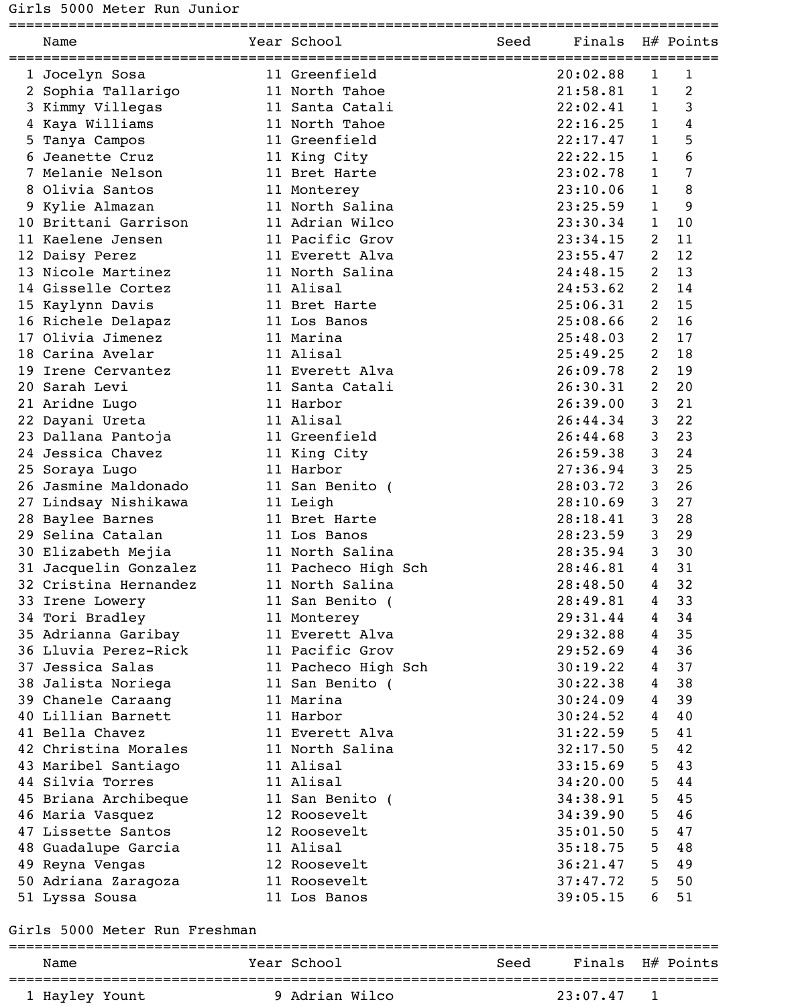Girls 5000 Meter Run Junior

| Name                  | Year School         | Seed | Finals H# Points |              |                |
|-----------------------|---------------------|------|------------------|--------------|----------------|
| 1 Jocelyn Sosa        | 11 Greenfield       |      | 20:02.88         | $\mathbf 1$  | 1              |
| 2 Sophia Tallarigo    | 11 North Tahoe      |      | 21:58.81         | $\mathbf{1}$ | $\overline{2}$ |
| 3 Kimmy Villegas      | 11 Santa Catali     |      | 22:02.41         | $\mathbf{1}$ | 3              |
| 4 Kaya Williams       | 11 North Tahoe      |      | 22:16.25         | $\mathbf{1}$ | 4              |
| 5 Tanya Campos        | 11 Greenfield       |      | 22:17.47         | $\mathbf{1}$ | 5              |
| 6 Jeanette Cruz       | 11 King City        |      | 22:22.15         | $\mathbf{1}$ | 6              |
| 7 Melanie Nelson      | 11 Bret Harte       |      | 23:02.78         | $\mathbf{1}$ | 7              |
| 8 Olivia Santos       | 11 Monterey         |      | 23:10.06         | $\mathbf{1}$ | 8              |
| 9 Kylie Almazan       | 11 North Salina     |      | 23:25.59         | $\mathbf{1}$ | 9              |
| 10 Brittani Garrison  | 11 Adrian Wilco     |      | 23:30.34         | $\mathbf{1}$ | 10             |
| 11 Kaelene Jensen     | 11 Pacific Grov     |      | 23:34.15         | 2            | 11             |
| 12 Daisy Perez        | 11 Everett Alva     |      | 23:55.47         | 2            | 12             |
| 13 Nicole Martinez    | 11 North Salina     |      | 24:48.15         | 2            | 13             |
| 14 Gisselle Cortez    | 11 Alisal           |      | 24:53.62         | 2            | 14             |
| 15 Kaylynn Davis      | 11 Bret Harte       |      | 25:06.31         | 2            | 15             |
| 16 Richele Delapaz    | 11 Los Banos        |      | 25:08.66         | 2            | 16             |
| 17 Olivia Jimenez     | 11 Marina           |      | 25:48.03         | 2            | 17             |
| 18 Carina Avelar      | 11 Alisal           |      | 25:49.25         | 2            | 18             |
| 19 Irene Cervantez    | 11 Everett Alva     |      | 26:09.78         | 2            | 19             |
| 20 Sarah Levi         | 11 Santa Catali     |      | 26:30.31         | 2            | 20             |
| 21 Aridne Lugo        | 11 Harbor           |      | 26:39.00         | 3            | 21             |
| 22 Dayani Ureta       | 11 Alisal           |      | 26:44.34         | 3            | 22             |
| 23 Dallana Pantoja    | 11 Greenfield       |      | 26:44.68         | 3            | 23             |
| 24 Jessica Chavez     | 11 King City        |      | 26:59.38         | 3            | 24             |
| 25 Soraya Lugo        | 11 Harbor           |      | 27:36.94         | 3            | 25             |
| 26 Jasmine Maldonado  | 11 San Benito (     |      | 28:03.72         | 3            | 26             |
| 27 Lindsay Nishikawa  | 11 Leigh            |      | 28:10.69         | 3            | 27             |
| 28 Baylee Barnes      | 11 Bret Harte       |      | 28:18.41         | 3            | 28             |
| 29 Selina Catalan     | 11 Los Banos        |      | 28:23.59         | 3            | 29             |
| 30 Elizabeth Mejia    | 11 North Salina     |      | 28:35.94         | 3            | 30             |
| 31 Jacquelin Gonzalez | 11 Pacheco High Sch |      | 28:46.81         | 4            | 31             |
| 32 Cristina Hernandez | 11 North Salina     |      | 28:48.50         | 4            | 32             |
| 33 Irene Lowery       | 11 San Benito (     |      | 28:49.81         | 4            | 33             |
| 34 Tori Bradley       | 11 Monterey         |      | 29:31.44         | 4            | 34             |
| 35 Adrianna Garibay   | 11 Everett Alva     |      | 29:32.88         | 4            | 35             |
| 36 Lluvia Perez-Rick  | 11 Pacific Grov     |      | 29:52.69         | 4            | 36             |
| 37 Jessica Salas      | 11 Pacheco High Sch |      | 30:19.22         | 4            | 37             |
| 38 Jalista Noriega    | 11 San Benito (     |      | 30:22.38         | 4            | 38             |
| 39 Chanele Caraang    | 11 Marina           |      | 30:24.09         | 4            | 39             |
| 40 Lillian Barnett    | 11 Harbor           |      | 30:24.52         | 4            | 40             |
| 41 Bella Chavez       | 11 Everett Alva     |      | 31:22.59         | 5            | 41             |
| 42 Christina Morales  | 11 North Salina     |      | 32:17.50         | 5            | 42             |
| 43 Maribel Santiago   | 11 Alisal           |      | 33:15.69         | 5            | 43             |
| 44 Silvia Torres      | 11 Alisal           |      | 34:20.00         | 5            | 44             |
| 45 Briana Archibeque  | 11 San Benito (     |      | 34:38.91         | 5            | 45             |
| 46 Maria Vasquez      | 12 Roosevelt        |      | 34:39.90         | 5            | 46             |
| 47 Lissette Santos    | 12 Roosevelt        |      | 35:01.50         | 5            | 47             |
| 48 Guadalupe Garcia   | 11 Alisal           |      | 35:18.75         | 5            | 48             |
| 49 Reyna Vengas       | 12 Roosevelt        |      | 36:21.47         | 5            | 49             |
| 50 Adriana Zaragoza   | 11 Roosevelt        |      | 37:47.72         | 5            | 50             |
| 51 Lyssa Sousa        | 11 Los Banos        |      | 39:05.15         | 6            | 51             |

## Girls 5000 Meter Run Freshman

| Name           | Year School    | Seed |          | Finals H# Points |
|----------------|----------------|------|----------|------------------|
| 1 Hayley Yount | 9 Adrian Wilco |      | 23:07.47 |                  |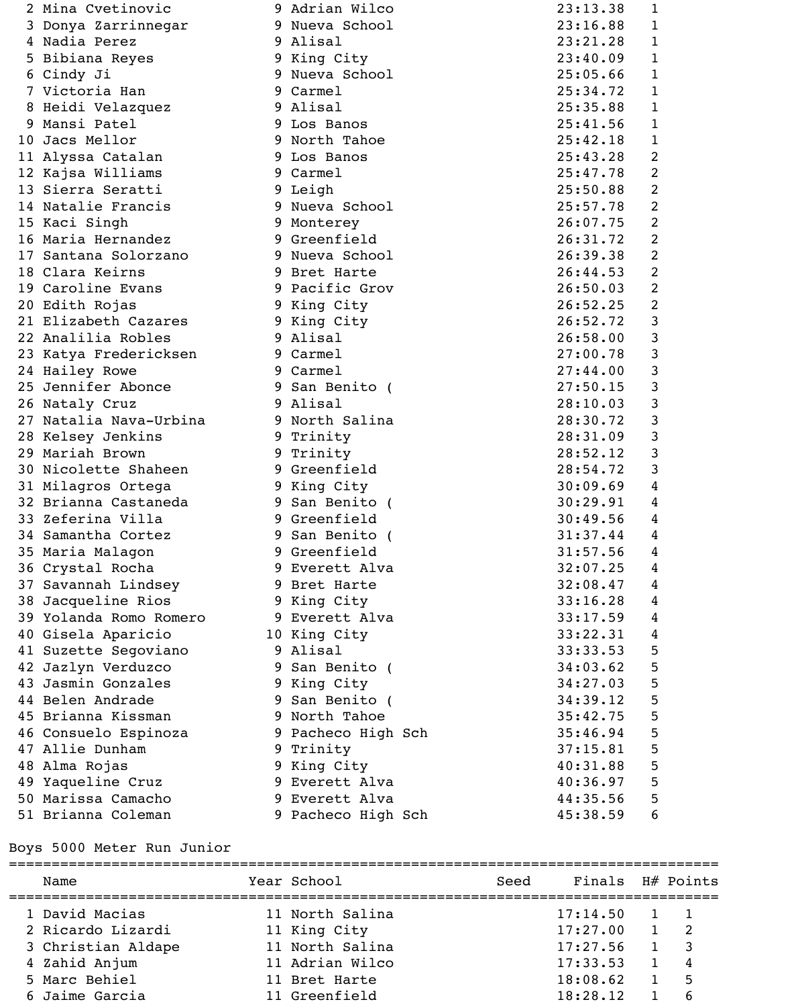| 2 Mina Cvetinovic      | 9 Adrian Wilco     | 23:13.38 | $\mathbf{1}$   |
|------------------------|--------------------|----------|----------------|
| 3 Donya Zarrinnegar    | 9 Nueva School     | 23:16.88 | 1              |
| 4 Nadia Perez          | 9 Alisal           | 23:21.28 | 1              |
| 5 Bibiana Reyes        | 9 King City        | 23:40.09 | 1              |
| 6 Cindy Ji             | 9 Nueva School     | 25:05.66 | $\mathbf 1$    |
| 7 Victoria Han         | 9 Carmel           | 25:34.72 | $\mathbf 1$    |
| 8 Heidi Velazquez      | 9 Alisal           | 25:35.88 | $\mathbf 1$    |
| 9 Mansi Patel          | 9 Los Banos        | 25:41.56 | 1              |
| 10 Jacs Mellor         | 9 North Tahoe      | 25:42.18 | $\mathbf{1}$   |
| 11 Alyssa Catalan      | 9 Los Banos        | 25:43.28 | 2              |
| 12 Kajsa Williams      | 9 Carmel           | 25:47.78 | 2              |
| 13 Sierra Seratti      | 9 Leigh            | 25:50.88 | 2              |
| 14 Natalie Francis     | 9 Nueva School     | 25:57.78 | 2              |
| 15 Kaci Singh          | 9 Monterey         | 26:07.75 | 2              |
| 16 Maria Hernandez     | 9 Greenfield       | 26:31.72 | $\overline{2}$ |
| 17 Santana Solorzano   | 9 Nueva School     | 26:39.38 | $\overline{2}$ |
| 18 Clara Keirns        | 9 Bret Harte       | 26:44.53 | 2              |
| 19 Caroline Evans      | 9 Pacific Grov     | 26:50.03 | $\overline{2}$ |
| 20 Edith Rojas         | 9 King City        | 26:52.25 | $\overline{2}$ |
| 21 Elizabeth Cazares   | 9 King City        | 26:52.72 | 3              |
| 22 Analilia Robles     | 9 Alisal           | 26:58.00 | 3              |
| 23 Katya Fredericksen  | 9 Carmel           | 27:00.78 | 3              |
| 24 Hailey Rowe         | 9 Carmel           | 27:44.00 | 3              |
| 25 Jennifer Abonce     | 9 San Benito (     | 27:50.15 | 3              |
| 26 Nataly Cruz         | 9 Alisal           | 28:10.03 | 3              |
| 27 Natalia Nava-Urbina | 9 North Salina     | 28:30.72 | 3              |
| 28 Kelsey Jenkins      | 9 Trinity          | 28:31.09 | 3              |
| 29 Mariah Brown        | 9 Trinity          | 28:52.12 | 3              |
| 30 Nicolette Shaheen   | 9 Greenfield       | 28:54.72 | 3              |
| 31 Milagros Ortega     | 9 King City        | 30:09.69 | 4              |
| 32 Brianna Castaneda   | 9 San Benito (     | 30:29.91 | 4              |
| 33 Zeferina Villa      | 9 Greenfield       | 30:49.56 | 4              |
| 34 Samantha Cortez     | 9 San Benito (     | 31:37.44 | 4              |
| 35 Maria Malagon       | 9 Greenfield       | 31:57.56 | 4              |
| 36 Crystal Rocha       | 9 Everett Alva     | 32:07.25 | 4              |
| 37 Savannah Lindsey    | 9 Bret Harte       | 32:08.47 | 4              |
| 38 Jacqueline Rios     | 9 King City        | 33:16.28 | 4              |
| 39 Yolanda Romo Romero | 9 Everett Alva     | 33:17.59 | 4              |
| 40 Gisela Aparicio     | 10 King City       | 33:22.31 | 4              |
| 41 Suzette Segoviano   | 9 Alisal           | 33:33.53 | 5              |
| 42 Jazlyn Verduzco     | 9 San Benito (     | 34:03.62 | 5              |
| 43 Jasmin Gonzales     | 9 King City        | 34:27.03 | 5              |
| 44 Belen Andrade       | 9 San Benito (     | 34:39.12 | 5              |
| 45 Brianna Kissman     | 9 North Tahoe      | 35:42.75 | 5              |
| 46 Consuelo Espinoza   | 9 Pacheco High Sch | 35:46.94 | 5              |
| 47 Allie Dunham        | 9 Trinity          | 37:15.81 | 5              |
| 48 Alma Rojas          | 9 King City        | 40:31.88 | 5              |
| 49 Yaqueline Cruz      | 9 Everett Alva     | 40:36.97 | 5              |
| 50 Marissa Camacho     | 9 Everett Alva     | 44:35.56 | 5              |
| 51 Brianna Coleman     | 9 Pacheco High Sch | 45:38.59 | 6              |
|                        |                    |          |                |

# Boys 5000 Meter Run Junior

| Name               | Year School     | Seed | Finals H# Points |                         |
|--------------------|-----------------|------|------------------|-------------------------|
| 1 David Macias     | 11 North Salina |      | 17:14.50         |                         |
| 2 Ricardo Lizardi  | 11 King City    |      | 17:27.00         | $\overline{2}$          |
| 3 Christian Aldape | 11 North Salina |      | 17:27.56         | $\overline{\mathbf{3}}$ |
| 4 Zahid Anjum      | 11 Adrian Wilco |      | 17:33.53         | $\overline{4}$          |
| 5 Marc Behiel      | 11 Bret Harte   |      | 18:08.62         | 5                       |
| 6 Jaime Garcia     | 11 Greenfield   |      | 18:28.12         | 6                       |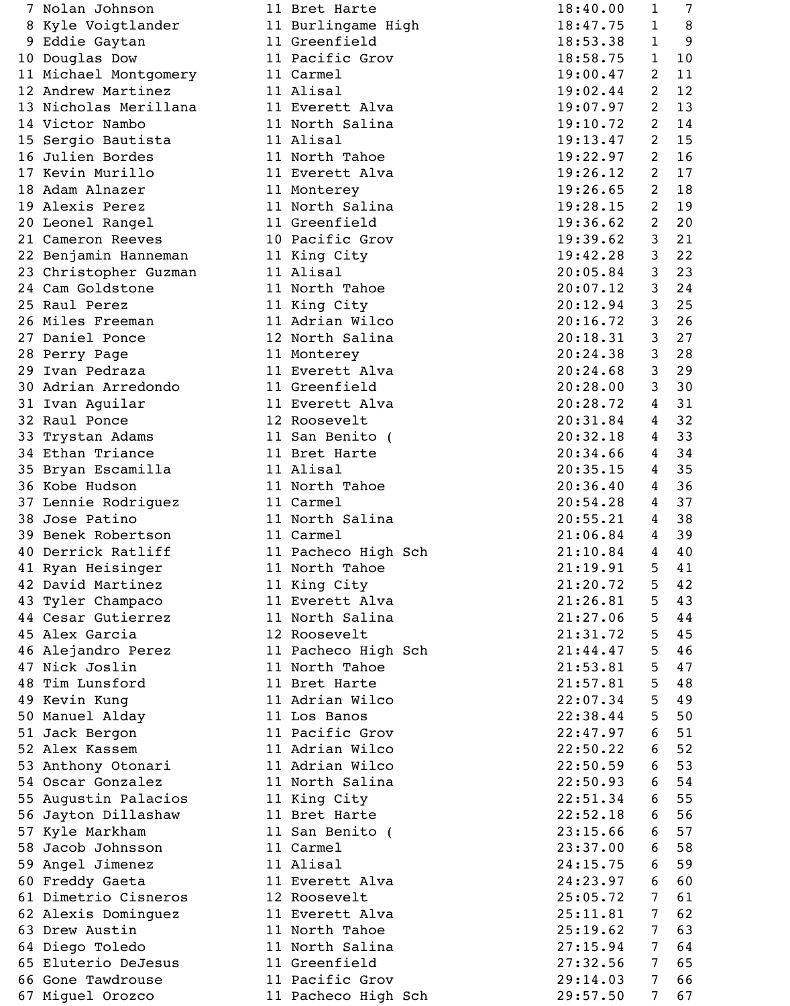| Nolan Johnson         | 11 Bret Harte       | 18:40.00 | $\mathbf 1$    | 7  |
|-----------------------|---------------------|----------|----------------|----|
| 8 Kyle Voigtlander    | 11 Burlingame High  | 18:47.75 | $\mathbf{1}$   | 8  |
| Eddie Gaytan          | 11 Greenfield       | 18:53.38 | 1              | 9  |
| 10 Douglas Dow        | 11 Pacific Grov     | 18:58.75 | $\mathbf{1}$   | 10 |
| 11 Michael Montgomery | 11 Carmel           | 19:00.47 | 2              | 11 |
| 12 Andrew Martinez    | 11 Alisal           | 19:02.44 | 2              | 12 |
| 13 Nicholas Merillana | 11 Everett Alva     | 19:07.97 | $\overline{2}$ | 13 |
| 14 Victor Nambo       | 11 North Salina     | 19:10.72 | 2              | 14 |
| 15 Sergio Bautista    | 11 Alisal           | 19:13.47 | $\overline{2}$ | 15 |
| 16 Julien Bordes      | 11 North Tahoe      | 19:22.97 | 2              | 16 |
| 17 Kevin Murillo      | 11 Everett Alva     | 19:26.12 | $\overline{2}$ | 17 |
| 18 Adam Alnazer       | 11 Monterey         | 19:26.65 | 2              | 18 |
| 19 Alexis Perez       | 11 North Salina     | 19:28.15 | $\overline{2}$ | 19 |
| 20 Leonel Rangel      | 11 Greenfield       | 19:36.62 | 2              | 20 |
| 21 Cameron Reeves     | 10 Pacific Grov     | 19:39.62 | 3              | 21 |
| 22 Benjamin Hanneman  | 11 King City        | 19:42.28 | 3              | 22 |
| 23 Christopher Guzman | 11 Alisal           | 20:05.84 | 3              | 23 |
| 24 Cam Goldstone      | 11 North Tahoe      | 20:07.12 | 3              | 24 |
| 25 Raul Perez         | 11 King City        | 20:12.94 | 3              | 25 |
| 26 Miles Freeman      | 11 Adrian Wilco     | 20:16.72 | 3              | 26 |
| 27 Daniel Ponce       | 12 North Salina     | 20:18.31 | 3              | 27 |
|                       |                     |          | 3              |    |
| 28 Perry Page         | 11 Monterey         | 20:24.38 |                | 28 |
| 29 Ivan Pedraza       | 11 Everett Alva     | 20:24.68 | 3              | 29 |
| 30 Adrian Arredondo   | 11 Greenfield       | 20:28.00 | 3              | 30 |
| 31 Ivan Aguilar       | 11 Everett Alva     | 20:28.72 | 4              | 31 |
| 32 Raul Ponce         | 12 Roosevelt        | 20:31.84 | 4              | 32 |
| 33 Trystan Adams      | 11 San Benito (     | 20:32.18 | 4              | 33 |
| 34 Ethan Triance      | 11 Bret Harte       | 20:34.66 | 4              | 34 |
| 35 Bryan Escamilla    | 11 Alisal           | 20:35.15 | 4              | 35 |
| 36 Kobe Hudson        | 11 North Tahoe      | 20:36.40 | 4              | 36 |
| 37 Lennie Rodriguez   | 11 Carmel           | 20:54.28 | 4              | 37 |
| 38 Jose Patino        | 11 North Salina     | 20:55.21 | 4              | 38 |
| 39 Benek Robertson    | 11 Carmel           | 21:06.84 | 4              | 39 |
| 40 Derrick Ratliff    | 11 Pacheco High Sch | 21:10.84 | 4              | 40 |
| 41 Ryan Heisinger     | 11 North Tahoe      | 21:19.91 | 5              | 41 |
| 42 David Martinez     | 11 King City        | 21:20.72 | 5              | 42 |
| 43 Tyler Champaco     | 11 Everett Alva     | 21:26.81 | 5              | 43 |
| 44 Cesar Gutierrez    | 11 North Salina     | 21:27.06 | 5              | 44 |
| 45 Alex Garcia        | 12 Roosevelt        | 21:31.72 | 5              | 45 |
| 46 Alejandro Perez    | 11 Pacheco High Sch | 21:44.47 | 5              | 46 |
| 47 Nick Joslin        | 11 North Tahoe      | 21:53.81 | 5              | 47 |
| 48 Tim Lunsford       | 11 Bret Harte       | 21:57.81 | 5              | 48 |
| 49 Kevin Kung         | 11 Adrian Wilco     | 22:07.34 | 5              | 49 |
| 50 Manuel Alday       | 11 Los Banos        | 22:38.44 | 5              | 50 |
| 51 Jack Bergon        | 11 Pacific Grov     | 22:47.97 | 6              | 51 |
| 52 Alex Kassem        | 11 Adrian Wilco     | 22:50.22 | 6              | 52 |
| 53 Anthony Otonari    | 11 Adrian Wilco     | 22:50.59 | 6              | 53 |
| 54 Oscar Gonzalez     | 11 North Salina     | 22:50.93 | 6              | 54 |
| 55 Augustin Palacios  | 11 King City        | 22:51.34 | 6              | 55 |
| 56 Jayton Dillashaw   | 11 Bret Harte       | 22:52.18 | 6              | 56 |
| 57 Kyle Markham       | 11 San Benito (     | 23:15.66 | 6              | 57 |
| 58 Jacob Johnsson     | 11 Carmel           | 23:37.00 | 6              | 58 |
| 59 Angel Jimenez      | 11 Alisal           | 24:15.75 | 6              | 59 |
| 60 Freddy Gaeta       | 11 Everett Alva     | 24:23.97 | 6              | 60 |
| 61 Dimetrio Cisneros  | 12 Roosevelt        | 25:05.72 | 7              | 61 |
| 62 Alexis Dominguez   | 11 Everett Alva     | 25:11.81 | 7              | 62 |
| 63 Drew Austin        | 11 North Tahoe      | 25:19.62 | 7              | 63 |
| 64 Diego Toledo       | 11 North Salina     | 27:15.94 | 7              | 64 |
| 65 Eluterio DeJesus   | 11 Greenfield       | 27:32.56 | 7              | 65 |
| 66 Gone Tawdrouse     | 11 Pacific Grov     | 29:14.03 | 7              | 66 |
| 67 Miguel Orozco      | 11 Pacheco High Sch | 29:57.50 | 7              | 67 |
|                       |                     |          |                |    |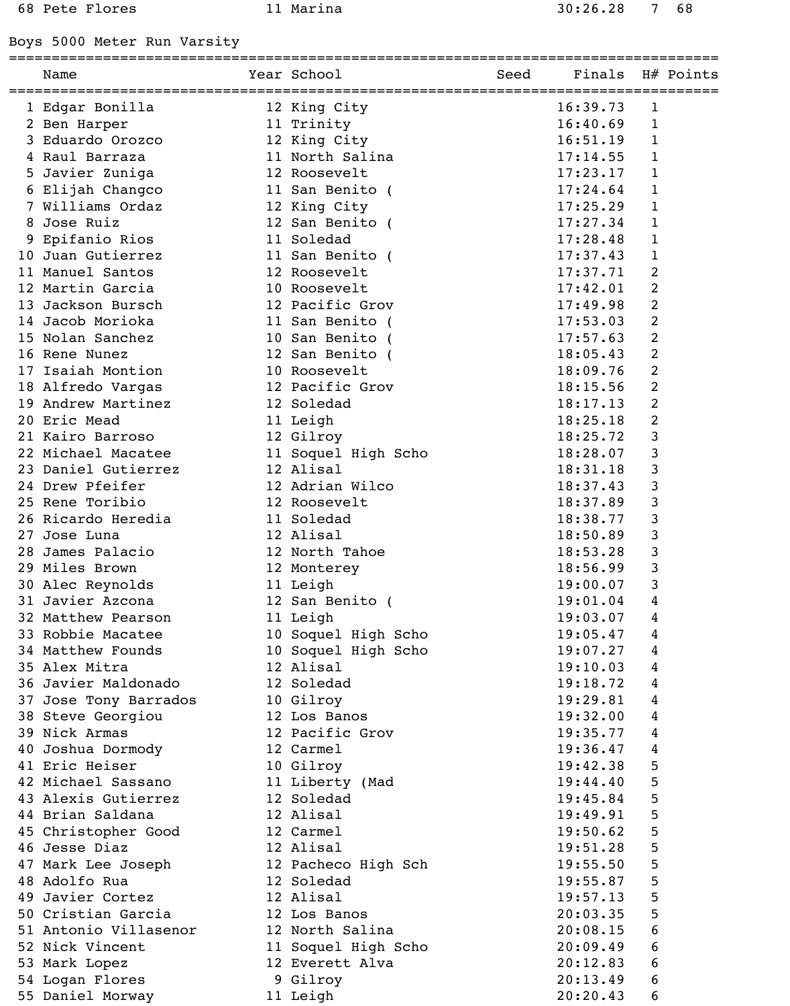Boys 5000 Meter Run Varsity

### ===================================================================================

|    | Name                  | Year School         | Seed | Finals   |                | H# Points |
|----|-----------------------|---------------------|------|----------|----------------|-----------|
|    | 1 Edgar Bonilla       | 12 King City        |      | 16:39.73 | 1              |           |
|    | 2 Ben Harper          | 11 Trinity          |      | 16:40.69 | 1              |           |
|    | 3 Eduardo Orozco      | 12 King City        |      | 16:51.19 | 1              |           |
|    | 4 Raul Barraza        | 11 North Salina     |      | 17:14.55 | $\mathbf 1$    |           |
|    | Javier Zuniga         | 12 Roosevelt        |      | 17:23.17 | 1              |           |
|    | 6 Elijah Changco      | 11 San Benito (     |      | 17:24.64 | 1              |           |
|    | 7 Williams Ordaz      | 12 King City        |      | 17:25.29 | $\mathbf 1$    |           |
| 8  | Jose Ruiz             | 12 San Benito (     |      | 17:27.34 | $\mathbf{1}$   |           |
|    | Epifanio Rios         | 11 Soledad          |      | 17:28.48 | 1              |           |
| 10 | Juan Gutierrez        | 11 San Benito (     |      | 17:37.43 | $\mathbf 1$    |           |
|    | 11 Manuel Santos      | 12 Roosevelt        |      | 17:37.71 | 2              |           |
|    | 12 Martin Garcia      | 10 Roosevelt        |      | 17:42.01 | $\overline{c}$ |           |
| 13 | Jackson Bursch        | 12 Pacific Grov     |      | 17:49.98 | $\overline{c}$ |           |
| 14 | Jacob Morioka         | 11 San Benito (     |      | 17:53.03 | 2              |           |
| 15 | Nolan Sanchez         | 10 San Benito       |      | 17:57.63 | $\overline{2}$ |           |
| 16 | Rene Nunez            | 12 San Benito (     |      | 18:05.43 | 2              |           |
| 17 | Isaiah Montion        | 10 Roosevelt        |      | 18:09.76 | $\overline{2}$ |           |
|    | 18 Alfredo Vargas     | 12 Pacific Grov     |      | 18:15.56 | 2              |           |
| 19 | Andrew Martinez       | 12 Soledad          |      | 18:17.13 | $\overline{c}$ |           |
|    | 20 Eric Mead          | 11 Leigh            |      | 18:25.18 | $\overline{c}$ |           |
|    | 21 Kairo Barroso      | 12 Gilroy           |      | 18:25.72 | 3              |           |
|    | 22 Michael Macatee    | 11 Soquel High Scho |      | 18:28.07 | 3              |           |
|    | 23 Daniel Gutierrez   | 12 Alisal           |      | 18:31.18 | 3              |           |
|    | 24 Drew Pfeifer       | 12 Adrian Wilco     |      | 18:37.43 | 3              |           |
|    | 25 Rene Toribio       | 12 Roosevelt        |      | 18:37.89 | 3              |           |
|    | 26 Ricardo Heredia    | 11 Soledad          |      | 18:38.77 | 3              |           |
| 27 | Jose Luna             | 12 Alisal           |      | 18:50.89 | 3              |           |
| 28 | James Palacio         | 12 North Tahoe      |      | 18:53.28 | 3              |           |
|    | 29 Miles Brown        | 12 Monterey         |      | 18:56.99 | 3              |           |
|    | 30 Alec Reynolds      | 11 Leigh            |      | 19:00.07 | 3              |           |
|    | 31 Javier Azcona      | 12 San Benito (     |      | 19:01.04 | 4              |           |
|    | 32 Matthew Pearson    | 11 Leigh            |      | 19:03.07 | 4              |           |
|    | 33 Robbie Macatee     | 10 Soquel High Scho |      | 19:05.47 | 4              |           |
|    | 34 Matthew Founds     | 10 Soquel High Scho |      | 19:07.27 | 4              |           |
|    | 35 Alex Mitra         | 12 Alisal           |      | 19:10.03 | 4              |           |
|    | 36 Javier Maldonado   | 12 Soledad          |      | 19:18.72 | 4              |           |
|    | 37 Jose Tony Barrados | 10 Gilroy           |      | 19:29.81 | 4              |           |
|    | 38 Steve Georgiou     | 12 Los Banos        |      | 19:32.00 | 4              |           |
|    | 39 Nick Armas         | 12 Pacific Grov     |      | 19:35.77 | 4              |           |
|    | 40 Joshua Dormody     | 12 Carmel           |      | 19:36.47 | 4              |           |
|    | 41 Eric Heiser        | 10 Gilroy           |      | 19:42.38 | 5              |           |
|    | 42 Michael Sassano    | 11 Liberty (Mad     |      | 19:44.40 | 5              |           |
|    | 43 Alexis Gutierrez   | 12 Soledad          |      | 19:45.84 | 5              |           |
|    | 44 Brian Saldana      | 12 Alisal           |      | 19:49.91 | 5              |           |
|    | 45 Christopher Good   | 12 Carmel           |      | 19:50.62 | 5              |           |
|    | 46 Jesse Diaz         | 12 Alisal           |      | 19:51.28 | 5              |           |
|    | 47 Mark Lee Joseph    | 12 Pacheco High Sch |      | 19:55.50 | 5              |           |
|    | 48 Adolfo Rua         | 12 Soledad          |      | 19:55.87 | 5              |           |
|    | 49 Javier Cortez      | 12 Alisal           |      | 19:57.13 | 5              |           |
|    | 50 Cristian Garcia    | 12 Los Banos        |      | 20:03.35 | 5              |           |
|    | 51 Antonio Villasenor | 12 North Salina     |      | 20:08.15 | 6              |           |
|    | 52 Nick Vincent       | 11 Soquel High Scho |      | 20:09.49 | 6              |           |
|    | 53 Mark Lopez         | 12 Everett Alva     |      | 20:12.83 | 6              |           |
|    | 54 Logan Flores       | 9 Gilroy            |      | 20:13.49 | 6              |           |
|    | 55 Daniel Morway      | 11 Leigh            |      | 20:20.43 | 6              |           |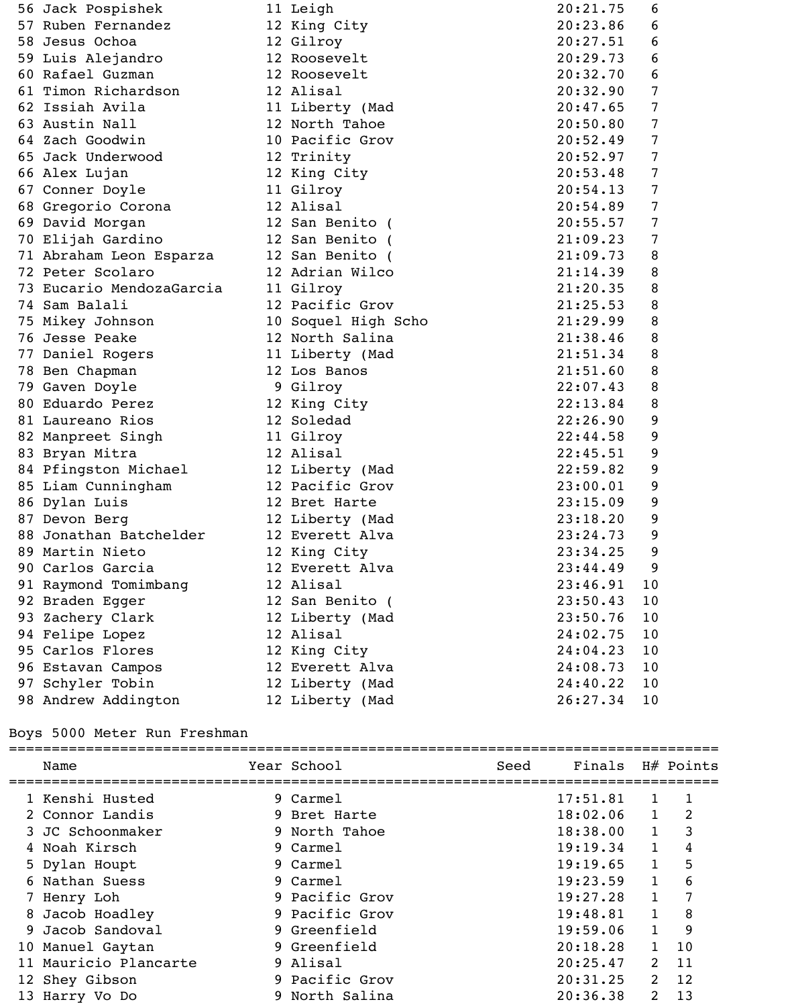| 56 Jack Pospishek        | 11 Leigh            | 20:21.75 | 6  |
|--------------------------|---------------------|----------|----|
| 57 Ruben Fernandez       | 12 King City        | 20:23.86 | 6  |
| 58 Jesus Ochoa           | 12 Gilroy           | 20:27.51 | 6  |
| 59 Luis Alejandro        | 12 Roosevelt        | 20:29.73 | 6  |
| 60 Rafael Guzman         | 12 Roosevelt        | 20:32.70 | 6  |
| 61 Timon Richardson      | 12 Alisal           | 20:32.90 | 7  |
| 62 Issiah Avila          | 11 Liberty (Mad     | 20:47.65 | 7  |
| 63 Austin Nall           | 12 North Tahoe      | 20:50.80 | 7  |
| 64 Zach Goodwin          | 10 Pacific Grov     | 20:52.49 | 7  |
| 65 Jack Underwood        | 12 Trinity          | 20:52.97 | 7  |
| 66 Alex Lujan            | 12 King City        | 20:53.48 | 7  |
| 67 Conner Doyle          | 11 Gilroy           | 20:54.13 | 7  |
| 68 Gregorio Corona       | 12 Alisal           | 20:54.89 | 7  |
| 69 David Morgan          | 12 San Benito (     | 20:55.57 | 7  |
| 70 Elijah Gardino        | 12 San Benito (     | 21:09.23 | 7  |
| 71 Abraham Leon Esparza  | 12 San Benito (     | 21:09.73 | 8  |
| 72 Peter Scolaro         | 12 Adrian Wilco     | 21:14.39 | 8  |
| 73 Eucario MendozaGarcia | 11 Gilroy           | 21:20.35 | 8  |
| 74 Sam Balali            | 12 Pacific Grov     | 21:25.53 | 8  |
| 75 Mikey Johnson         | 10 Soquel High Scho | 21:29.99 | 8  |
| 76 Jesse Peake           | 12 North Salina     | 21:38.46 | 8  |
| 77 Daniel Rogers         | 11 Liberty (Mad     | 21:51.34 | 8  |
| 78 Ben Chapman           | 12 Los Banos        | 21:51.60 | 8  |
| 79 Gaven Doyle           | 9 Gilroy            | 22:07.43 | 8  |
| 80 Eduardo Perez         | 12 King City        | 22:13.84 | 8  |
| 81 Laureano Rios         | 12 Soledad          | 22:26.90 | 9  |
| 82 Manpreet Singh        | 11 Gilroy           | 22:44.58 | 9  |
| 83 Bryan Mitra           | 12 Alisal           | 22:45.51 | 9  |
| 84 Pfingston Michael     | 12 Liberty (Mad     | 22:59.82 | 9  |
| 85 Liam Cunningham       | 12 Pacific Grov     | 23:00.01 | 9  |
| 86 Dylan Luis            | 12 Bret Harte       | 23:15.09 | 9  |
| 87 Devon Berg            | 12 Liberty (Mad     | 23:18.20 | 9  |
| 88 Jonathan Batchelder   | 12 Everett Alva     | 23:24.73 | 9  |
| 89 Martin Nieto          | 12 King City        | 23:34.25 | 9  |
| 90 Carlos Garcia         | 12 Everett Alva     | 23:44.49 | 9  |
| 91 Raymond Tomimbang     | 12 Alisal           | 23:46.91 | 10 |
| 92 Braden Egger          | 12 San Benito (     | 23:50.43 | 10 |
| 93 Zachery Clark         | 12 Liberty (Mad     | 23:50.76 | 10 |
| 94 Felipe Lopez          | 12 Alisal           | 24:02.75 | 10 |
| 95 Carlos Flores         | 12 King City        | 24:04.23 | 10 |
| 96 Estavan Campos        | 12 Everett Alva     | 24:08.73 | 10 |
| 97 Schyler Tobin         | 12 Liberty (Mad     | 24:40.22 | 10 |
| 98 Andrew Addington      | 12 Liberty (Mad     | 26:27.34 | 10 |

# Boys 5000 Meter Run Freshman

|    | Name                  | Year School    | Seed | Finals   |                | H# Points |
|----|-----------------------|----------------|------|----------|----------------|-----------|
|    | 1 Kenshi Husted       | 9 Carmel       |      | 17:51.81 |                |           |
|    | 2 Connor Landis       | 9 Bret Harte   |      | 18:02.06 | $\mathbf{1}$   | 2         |
|    | 3 JC Schoonmaker      | 9 North Tahoe  |      | 18:38.00 | $\mathbf{1}$   | 3         |
|    | 4 Noah Kirsch         | 9 Carmel       |      | 19:19.34 | $\mathbf{1}$   | 4         |
|    | 5 Dylan Houpt         | 9 Carmel       |      | 19:19.65 | $\mathbf{1}$   | 5         |
|    | 6 Nathan Suess        | 9 Carmel       |      | 19:23.59 | $\mathbf{1}$   | 6         |
|    | 7 Henry Loh           | 9 Pacific Grov |      | 19:27.28 | $\mathbf{1}$   | 7         |
|    | 8 Jacob Hoadley       | 9 Pacific Grov |      | 19:48.81 | $\mathbf{1}$   | 8         |
| 9. | Jacob Sandoval        | 9 Greenfield   |      | 19:59.06 | $\mathbf{1}$   | 9         |
|    | 10 Manuel Gaytan      | 9 Greenfield   |      | 20:18.28 | $\mathbf{1}$   | 10        |
|    | 11 Mauricio Plancarte | 9 Alisal       |      | 20:25.47 | $2^{\circ}$    | 11        |
|    | 12 Shey Gibson        | 9 Pacific Grov |      | 20:31.25 | 2              | 12        |
|    | 13 Harry Vo Do        | 9 North Salina |      | 20:36.38 | $\overline{2}$ | 13        |
|    |                       |                |      |          |                |           |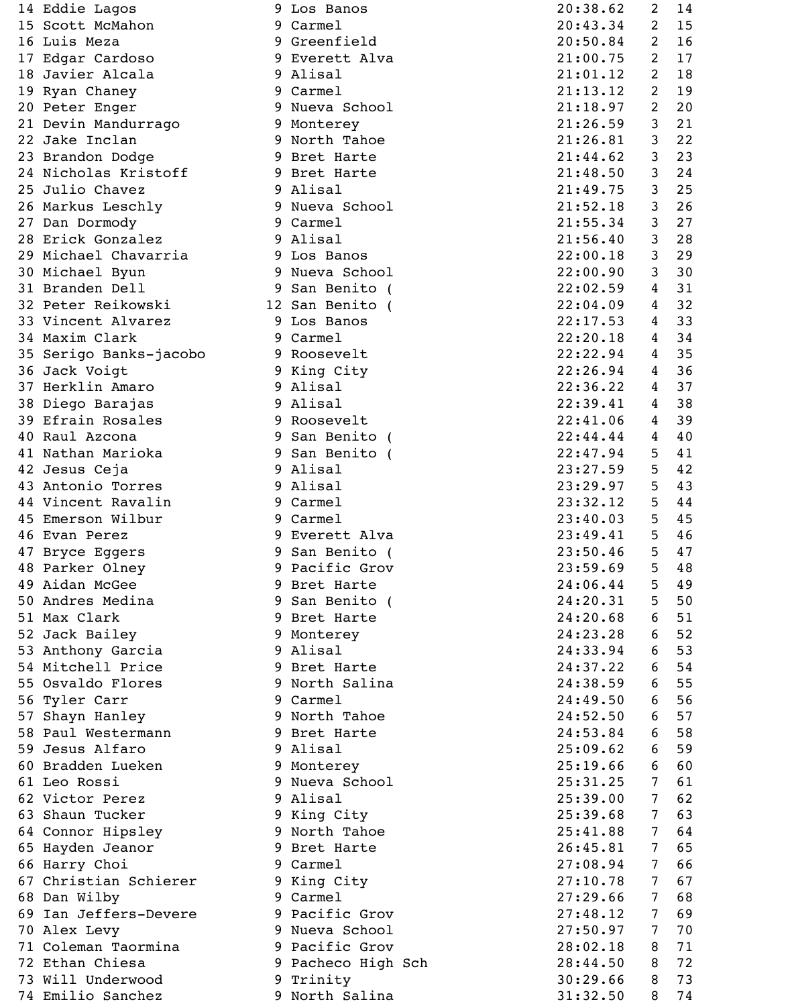|    | 14 Eddie Lagos         |   | 9 Los Banos        | 20:38.62 | 2              | 14 |
|----|------------------------|---|--------------------|----------|----------------|----|
|    | 15 Scott McMahon       |   | 9 Carmel           | 20:43.34 | 2              | 15 |
|    | 16 Luis Meza           |   | 9 Greenfield       | 20:50.84 | 2              | 16 |
|    | 17 Edgar Cardoso       |   | 9 Everett Alva     | 21:00.75 | 2              | 17 |
|    | 18 Javier Alcala       |   | 9 Alisal           | 21:01.12 | $\overline{2}$ | 18 |
|    | 19 Ryan Chaney         |   | 9 Carmel           | 21:13.12 | $\overline{2}$ | 19 |
|    | 20 Peter Enger         |   | 9 Nueva School     | 21:18.97 | 2              | 20 |
|    | 21 Devin Mandurrago    |   | 9 Monterey         | 21:26.59 | 3              | 21 |
|    | 22 Jake Inclan         |   | 9 North Tahoe      | 21:26.81 | 3              | 22 |
|    | 23 Brandon Dodge       |   | 9 Bret Harte       | 21:44.62 | 3              | 23 |
|    | 24 Nicholas Kristoff   |   | 9 Bret Harte       | 21:48.50 | 3              | 24 |
|    | 25 Julio Chavez        |   | 9 Alisal           | 21:49.75 | 3              | 25 |
|    | 26 Markus Leschly      |   | 9 Nueva School     | 21:52.18 | 3              | 26 |
|    | 27 Dan Dormody         |   | 9 Carmel           | 21:55.34 | 3              | 27 |
|    | 28 Erick Gonzalez      |   | 9 Alisal           | 21:56.40 | 3              | 28 |
|    |                        |   |                    |          |                |    |
|    | 29 Michael Chavarria   |   | 9 Los Banos        | 22:00.18 | 3              | 29 |
|    | 30 Michael Byun        |   | 9 Nueva School     | 22:00.90 | 3              | 30 |
|    | 31 Branden Dell        |   | 9 San Benito (     | 22:02.59 | 4              | 31 |
|    | 32 Peter Reikowski     |   | 12 San Benito (    | 22:04.09 | 4              | 32 |
|    | 33 Vincent Alvarez     |   | 9 Los Banos        | 22:17.53 | 4              | 33 |
|    | 34 Maxim Clark         |   | 9 Carmel           | 22:20.18 | 4              | 34 |
|    | 35 Serigo Banks-jacobo |   | 9 Roosevelt        | 22:22.94 | 4              | 35 |
|    | 36 Jack Voigt          |   | 9 King City        | 22:26.94 | 4              | 36 |
|    | 37 Herklin Amaro       |   | 9 Alisal           | 22:36.22 | 4              | 37 |
|    | 38 Diego Barajas       |   | 9 Alisal           | 22:39.41 | 4              | 38 |
|    | 39 Efrain Rosales      |   | 9 Roosevelt        | 22:41.06 | 4              | 39 |
|    | 40 Raul Azcona         | 9 | San Benito (       | 22:44.44 | 4              | 40 |
|    | 41 Nathan Marioka      |   | 9 San Benito (     | 22:47.94 | 5              | 41 |
|    | 42 Jesus Ceja          |   | 9 Alisal           | 23:27.59 | 5              | 42 |
|    | 43 Antonio Torres      |   | 9 Alisal           | 23:29.97 | 5              | 43 |
|    | 44 Vincent Ravalin     |   | 9 Carmel           | 23:32.12 | 5              | 44 |
|    | 45 Emerson Wilbur      |   | 9 Carmel           | 23:40.03 | 5              | 45 |
|    | 46 Evan Perez          |   | 9 Everett Alva     | 23:49.41 | 5              | 46 |
|    | 47 Bryce Eggers        |   | 9 San Benito (     | 23:50.46 | 5              | 47 |
|    | 48 Parker Olney        |   | 9 Pacific Grov     | 23:59.69 | 5              | 48 |
|    | 49 Aidan McGee         |   | 9 Bret Harte       | 24:06.44 | 5              | 49 |
|    | 50 Andres Medina       | 9 | San Benito (       | 24:20.31 | 5              | 50 |
|    | 51 Max Clark           |   | 9 Bret Harte       | 24:20.68 | 6              | 51 |
|    | 52 Jack Bailey         |   | 9 Monterey         | 24:23.28 | 6              | 52 |
|    | 53 Anthony Garcia      |   | 9 Alisal           | 24:33.94 | 6              | 53 |
|    | 54 Mitchell Price      |   | 9 Bret Harte       | 24:37.22 | 6              | 54 |
|    |                        |   |                    |          |                |    |
|    | 55 Osvaldo Flores      |   | 9 North Salina     | 24:38.59 | 6              | 55 |
|    | 56 Tyler Carr          |   | 9 Carmel           | 24:49.50 | 6              | 56 |
|    | 57 Shayn Hanley        |   | 9 North Tahoe      | 24:52.50 | 6              | 57 |
|    | 58 Paul Westermann     |   | 9 Bret Harte       | 24:53.84 | 6              | 58 |
|    | 59 Jesus Alfaro        |   | 9 Alisal           | 25:09.62 | 6              | 59 |
|    | 60 Bradden Lueken      |   | 9 Monterey         | 25:19.66 | 6              | 60 |
|    | 61 Leo Rossi           |   | 9 Nueva School     | 25:31.25 | 7              | 61 |
|    | 62 Victor Perez        |   | 9 Alisal           | 25:39.00 | 7              | 62 |
|    | 63 Shaun Tucker        |   | 9 King City        | 25:39.68 | 7              | 63 |
|    | 64 Connor Hipsley      |   | 9 North Tahoe      | 25:41.88 | 7              | 64 |
|    | 65 Hayden Jeanor       |   | 9 Bret Harte       | 26:45.81 | 7              | 65 |
|    | 66 Harry Choi          |   | 9 Carmel           | 27:08.94 | 7              | 66 |
|    | 67 Christian Schierer  |   | 9 King City        | 27:10.78 | 7              | 67 |
|    | 68 Dan Wilby           |   | 9 Carmel           | 27:29.66 | 7              | 68 |
| 69 | Ian Jeffers-Devere     |   | 9 Pacific Grov     | 27:48.12 | 7              | 69 |
|    | 70 Alex Levy           |   | 9 Nueva School     | 27:50.97 | 7              | 70 |
|    | 71 Coleman Taormina    |   | 9 Pacific Grov     | 28:02.18 | 8              | 71 |
|    | 72 Ethan Chiesa        |   | 9 Pacheco High Sch | 28:44.50 | 8              | 72 |
|    | 73 Will Underwood      |   | 9 Trinity          | 30:29.66 | 8              | 73 |
|    | 74 Emilio Sanchez      |   | 9 North Salina     | 31:32.50 | 8              | 74 |

| 9      | Los Banos                    |
|--------|------------------------------|
| 9      | Carmel                       |
| 9      | Greenfield                   |
| 9      | Everett Alva                 |
|        | 9 Alisal                     |
| 9      | Carmel                       |
| 9      | Nueva School                 |
| 9      | Monterey                     |
| 9      | North Tahoe                  |
| 9      | Bret Harte                   |
| 9      | Bret Harte                   |
| 9      | Alisal                       |
| 9      | Nueva School                 |
| 9      |                              |
|        | Carmel                       |
| 9      | Alisal                       |
|        | 9 Los Banos                  |
|        | 9 Nueva School               |
|        | 9 San Benito (               |
|        | 2 San Benito (               |
| 9      | Los Banos                    |
|        | 9 Carmel                     |
| 9      | Roosevelt                    |
| 9      | King City                    |
| 9      | Alisal                       |
|        | 9 Alisal                     |
|        | 9 Roosevelt                  |
|        | 9 San Benito (               |
|        | 9 San Benito (               |
|        | 9 Alisal                     |
| 9      | Alisal                       |
| 9      | Carmel                       |
| 9      | Carmel                       |
| 9      | Everett Alva                 |
| 9      | San Benito (                 |
| 9      | Pacific Grov                 |
| 9      | Bret Harte                   |
| 9      | San Benito (                 |
| 9      | Bret Harte                   |
| 9      | Monterey                     |
| 9      |                              |
| 9      |                              |
|        | Alisal                       |
|        | Bret Harte                   |
| 9      | North Salina                 |
|        | 9 Carmel                     |
| 9      | North Tahoe                  |
| 9      | Bret Harte                   |
| 9      | Alisal                       |
| 9      | Monterey                     |
| 9      | Nueva School                 |
| 9      | Alisal                       |
| 9      | King City                    |
| 9      | North Tahoe                  |
| 9      | Bret Harte                   |
| 9      | Carmel                       |
| 9      | King City                    |
|        | 9 Carmel                     |
| 9      | Pacific Grov                 |
| 9      | Nueva School                 |
| 9      | Pacific Grov                 |
| 9<br>9 | Pacheco High<br>S<br>Trinity |

| 20:38.62                            | $\overline{\mathbf{c}}$ | 14 |
|-------------------------------------|-------------------------|----|
| 20:43.34                            | 2                       | 15 |
| 20:50.84                            | 2                       | 16 |
| 21:00.<br>75                        | 2                       | 17 |
| 21:01<br>12<br>$\ddot{\phantom{0}}$ | 2                       | 18 |
| 21:13.<br>12                        | 2                       | 19 |
| 21:18.97                            | 2                       | 20 |
| 21:26.59                            | 3                       | 21 |
| 21:26.81                            | 3                       | 22 |
| 21:44.62                            | 3                       | 23 |
| 21:48.50                            | 3                       | 24 |
| 21:49.75                            | 3                       | 25 |
| 21:52.18                            | 3                       | 26 |
| 21:55.34                            | 3                       | 27 |
| 21:56.40                            | 3                       | 28 |
| 22:00.18                            | 3                       | 29 |
| 22:00.90                            | 3                       | 30 |
| 22:02.59                            | 4                       | 31 |
| 22:04.09                            | 4                       | 32 |
| 22:17.53                            | 4                       | 33 |
| 22:20.18                            | 4                       | 34 |
| 22:22.94                            | 4                       | 35 |
| 22:26.94                            | 4                       | 36 |
|                                     | 4                       |    |
| 22:36.22                            | 4                       | 37 |
| 22:39.41                            | 4                       | 38 |
| 22:41.06                            |                         | 39 |
| 22:44.44                            | 4                       | 40 |
| 22:47.94                            | 5                       | 41 |
| 23:27<br>59                         | 5<br>5                  | 42 |
| 23:29.97                            |                         | 43 |
| 23:32.12                            | 5                       | 44 |
| 23:40.03                            | 5                       | 45 |
| 23:49.41                            | 5                       | 46 |
| 23:50.46                            | 5                       | 47 |
| 23:59.69                            | 5                       | 48 |
| 24:06.44                            | 5                       | 49 |
| 24:20.31                            | 5                       | 50 |
| 24:20.68                            | 6                       | 51 |
| 24:23.28                            | 6                       | 52 |
| 24:33.94                            | 6                       | 53 |
| 24:37.22                            | 6                       | 54 |
| 24:38.59                            | 6                       | 55 |
| 24:49.50                            | 6                       | 56 |
| 24:52.50                            | 6                       | 57 |
| 24:53.84                            | 6                       | 58 |
| 25:09.62                            | 6                       | 59 |
| 25:19.66                            | 6                       | 60 |
| 25:31.25                            | 7                       | 61 |
| 25:39.00                            | 7                       | 62 |
| 25:39.68                            | 7                       | 63 |
| 25:41.88                            | 7                       | 64 |
| 26:45.81                            | 7                       | 65 |
| 27:08.94                            | 7                       | 66 |
| 27:10.78                            | 7                       | 67 |
| 27:29.66                            | 7                       | 68 |
| 27:48.12                            | 7                       | 69 |
| 27:50.97                            | 7                       | 70 |
| 28:02.18                            | 8                       | 71 |
| 28:44.50                            | 8                       | 72 |
| 30:29.66                            | 8                       | 73 |
| 31:32.50                            | 8                       | 74 |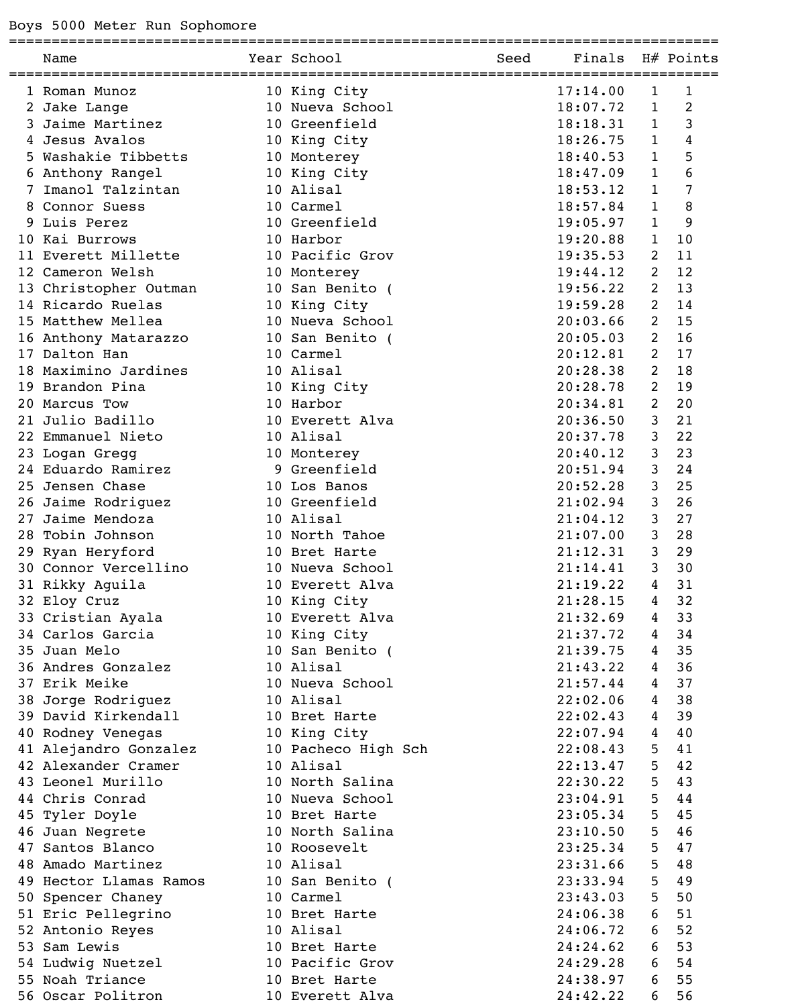=================================================================================== Name Year School Seed Finals H# Points =================================================================================== 1 Roman Munoz 10 King City 2 Jake Lange 10 Nueva School 3 Jaime Martinez<br>
4 Jesus Avalos<br>
5 Washakie Tibbetts<br>
6 Anthony Rangel<br>
7 Imanol Talzintan<br>
10 Alisal<br>
10 Alisal 4 Jesus Avalos 5 Washakie Tibbetts 6 Anthony Rangel 7 Imanol Talzintan 8 Connor Suess 10 Carmel 9 Luis Perez 10 Greenfield 10 Kai Burrows 10 Harbor 11 Everett Millette 10 Pacific Grov<br>12 Cameron Welsh 10 Monterey 12 Cameron Welsh 10 Monterey 19:44.12 2 12 13 Christopher Outman 14 Ricardo Ruelas 10 King City 19:59.28 2 14 15 Matthew Mellea 10 Nueva School 20:03.66 2 15 16 Anthony Matarazzo 10 San Benito ( 20:05.03 2 16 17 Dalton Han 10 Carmel<br>18 Maximino Jardines 10 Alisal 18 Maximino Jardines 19 Brandon Pina 10 King City 20 Marcus Tow 10 Harbor 21 Julio Badillo 10 Everett Alva

22 Emmanuel Nieto 10 Alisal 23 Logan Gregg 10 Monterey 24 Eduardo Ramirez 9 Greenfield 25 Jensen Chase 10 Los Banos 26 Jaime Rodriguez 10 Greenfield 21:02.94 3 26 27 Jaime Mendoza 10 Alisal 21:04.12 3 27 28 Tobin Johnson 10 North Tahoe 29 Ryan Heryford 10 Bret Harte 30 Connor Vercellino 10 Nueva School 31 Rikky Aguila 10 Everett Alva 32 Eloy Cruz 10 King City 33 Cristian Ayala 10 Everett Alva 34 Carlos Garcia 10 King City 35 Juan Melo 10 San Benito ( 36 Andres Gonzalez 10 Alisal 37 Erik Meike 10 Nueva School 38 Jorge Rodriguez 10 Alisal 22:02.06 4 38 39 David Kirkendall 10 Bret Harte 22:02.43 4 39 40 Rodney Venegas 10 King City 22:07.94 4 40 41 Alejandro Gonzalez 42 Alexander Cramer 10 Alisal 43 Leonel Murillo 10 North Salina 44 Chris Conrad 10 Nueva School 45 Tyler Doyle 10 Bret Harte 46 Juan Negrete 10 North Salina 47 Santos Blanco 10 Roosevelt 48 Amado Martinez 10 Alisal 23:31.66 5 48 49 Hector Llamas Ramos 50 Spencer Chaney 10 Carmel 51 Eric Pellegrino 10 Bret Harte 52 Antonio Reyes 10 Alisal 53 Sam Lewis 10 Bret Harte 54 Ludwig Nuetzel 10 Pacific Grov 55 Noah Triance 10 Bret Harte

56 Oscar Politron 10 Everett Alva

| 3<br>1<br>18:18.31<br>4<br>18:26.75<br>1<br>5<br>1<br>18:40.53<br>6<br>$\mathbf 1$<br>18:47.09<br>7<br>$\overline{1}$<br>18:53.12<br>1<br>18:57.84<br>8<br>19:05.97<br>1<br>9<br>1<br>10<br>19:20.88<br>2<br>19:35.53<br>11<br>2<br>19:44.12<br>12<br>$\overline{\mathbf{c}}$<br>19:56.22<br>13<br>$\overline{c}$<br>19:59.28<br>14<br>$\overline{c}$<br>15<br>20:03.66<br>$\overline{c}$<br>20:05.03<br>16<br>$\overline{\mathbf{c}}$<br>20:12.81<br>17<br>$\overline{c}$<br>20:28.38<br>18<br>$\overline{c}$<br>20:28.78<br>19<br>$\overline{2}$<br>20:34.81<br>20<br>20:36.50<br>3<br>21<br>20:37.78<br>3<br>22<br>3<br>20:40.12<br>23<br>20:51.94<br>3<br>24<br>3<br>20:52.28<br>25<br>3<br>26<br>21:02.94<br>3<br>27<br>21:04.12<br>21:07.00<br>3<br>28<br>3<br>29<br>21:12.31<br>3<br>21:14.41<br>30<br>21:19.22<br>31<br>4<br>4<br>32<br>21:28.15<br>4<br>33<br>21:32.69<br>4<br>21:37.72<br>34<br>4<br>35<br>21:39.75<br>4<br>21:43.22<br>36<br>21:57.44<br>4<br>37<br>4<br>22:02.06<br>38<br>22:02.43<br>4<br>39<br>4<br>22:07.94<br>40<br>5<br>41<br>22:08.43<br>5<br>22:13.47<br>42<br>5<br>43<br>22:30.22<br>5<br>23:04.91<br>44<br>5<br>23:05.34<br>45<br>5<br>23:10.50<br>46<br>5<br>23:25.34<br>47<br>5<br>23:31.66<br>48<br>5<br>23:33.94<br>49<br>5<br>50<br>23:43.03<br>6<br>51<br>24:06.38<br>6<br>52<br>24:06.72<br>6<br>53<br>24:24.62<br>6<br>24:29.28<br>54<br>6<br>55<br>24:38.97<br>24:42.22<br>6<br>56 | 17:14.00<br>18:07.72 | 1<br>1 | 1<br>2 |
|----------------------------------------------------------------------------------------------------------------------------------------------------------------------------------------------------------------------------------------------------------------------------------------------------------------------------------------------------------------------------------------------------------------------------------------------------------------------------------------------------------------------------------------------------------------------------------------------------------------------------------------------------------------------------------------------------------------------------------------------------------------------------------------------------------------------------------------------------------------------------------------------------------------------------------------------------------------------------------------------------------------------------------------------------------------------------------------------------------------------------------------------------------------------------------------------------------------------------------------------------------------------------------------------------------------------------------------------------------------------------------------------------------------------------------|----------------------|--------|--------|
|                                                                                                                                                                                                                                                                                                                                                                                                                                                                                                                                                                                                                                                                                                                                                                                                                                                                                                                                                                                                                                                                                                                                                                                                                                                                                                                                                                                                                                  |                      |        |        |
|                                                                                                                                                                                                                                                                                                                                                                                                                                                                                                                                                                                                                                                                                                                                                                                                                                                                                                                                                                                                                                                                                                                                                                                                                                                                                                                                                                                                                                  |                      |        |        |
|                                                                                                                                                                                                                                                                                                                                                                                                                                                                                                                                                                                                                                                                                                                                                                                                                                                                                                                                                                                                                                                                                                                                                                                                                                                                                                                                                                                                                                  |                      |        |        |
|                                                                                                                                                                                                                                                                                                                                                                                                                                                                                                                                                                                                                                                                                                                                                                                                                                                                                                                                                                                                                                                                                                                                                                                                                                                                                                                                                                                                                                  |                      |        |        |
|                                                                                                                                                                                                                                                                                                                                                                                                                                                                                                                                                                                                                                                                                                                                                                                                                                                                                                                                                                                                                                                                                                                                                                                                                                                                                                                                                                                                                                  |                      |        |        |
|                                                                                                                                                                                                                                                                                                                                                                                                                                                                                                                                                                                                                                                                                                                                                                                                                                                                                                                                                                                                                                                                                                                                                                                                                                                                                                                                                                                                                                  |                      |        |        |
|                                                                                                                                                                                                                                                                                                                                                                                                                                                                                                                                                                                                                                                                                                                                                                                                                                                                                                                                                                                                                                                                                                                                                                                                                                                                                                                                                                                                                                  |                      |        |        |
|                                                                                                                                                                                                                                                                                                                                                                                                                                                                                                                                                                                                                                                                                                                                                                                                                                                                                                                                                                                                                                                                                                                                                                                                                                                                                                                                                                                                                                  |                      |        |        |
|                                                                                                                                                                                                                                                                                                                                                                                                                                                                                                                                                                                                                                                                                                                                                                                                                                                                                                                                                                                                                                                                                                                                                                                                                                                                                                                                                                                                                                  |                      |        |        |
|                                                                                                                                                                                                                                                                                                                                                                                                                                                                                                                                                                                                                                                                                                                                                                                                                                                                                                                                                                                                                                                                                                                                                                                                                                                                                                                                                                                                                                  |                      |        |        |
|                                                                                                                                                                                                                                                                                                                                                                                                                                                                                                                                                                                                                                                                                                                                                                                                                                                                                                                                                                                                                                                                                                                                                                                                                                                                                                                                                                                                                                  |                      |        |        |
|                                                                                                                                                                                                                                                                                                                                                                                                                                                                                                                                                                                                                                                                                                                                                                                                                                                                                                                                                                                                                                                                                                                                                                                                                                                                                                                                                                                                                                  |                      |        |        |
|                                                                                                                                                                                                                                                                                                                                                                                                                                                                                                                                                                                                                                                                                                                                                                                                                                                                                                                                                                                                                                                                                                                                                                                                                                                                                                                                                                                                                                  |                      |        |        |
|                                                                                                                                                                                                                                                                                                                                                                                                                                                                                                                                                                                                                                                                                                                                                                                                                                                                                                                                                                                                                                                                                                                                                                                                                                                                                                                                                                                                                                  |                      |        |        |
|                                                                                                                                                                                                                                                                                                                                                                                                                                                                                                                                                                                                                                                                                                                                                                                                                                                                                                                                                                                                                                                                                                                                                                                                                                                                                                                                                                                                                                  |                      |        |        |
|                                                                                                                                                                                                                                                                                                                                                                                                                                                                                                                                                                                                                                                                                                                                                                                                                                                                                                                                                                                                                                                                                                                                                                                                                                                                                                                                                                                                                                  |                      |        |        |
|                                                                                                                                                                                                                                                                                                                                                                                                                                                                                                                                                                                                                                                                                                                                                                                                                                                                                                                                                                                                                                                                                                                                                                                                                                                                                                                                                                                                                                  |                      |        |        |
|                                                                                                                                                                                                                                                                                                                                                                                                                                                                                                                                                                                                                                                                                                                                                                                                                                                                                                                                                                                                                                                                                                                                                                                                                                                                                                                                                                                                                                  |                      |        |        |
|                                                                                                                                                                                                                                                                                                                                                                                                                                                                                                                                                                                                                                                                                                                                                                                                                                                                                                                                                                                                                                                                                                                                                                                                                                                                                                                                                                                                                                  |                      |        |        |
|                                                                                                                                                                                                                                                                                                                                                                                                                                                                                                                                                                                                                                                                                                                                                                                                                                                                                                                                                                                                                                                                                                                                                                                                                                                                                                                                                                                                                                  |                      |        |        |
|                                                                                                                                                                                                                                                                                                                                                                                                                                                                                                                                                                                                                                                                                                                                                                                                                                                                                                                                                                                                                                                                                                                                                                                                                                                                                                                                                                                                                                  |                      |        |        |
|                                                                                                                                                                                                                                                                                                                                                                                                                                                                                                                                                                                                                                                                                                                                                                                                                                                                                                                                                                                                                                                                                                                                                                                                                                                                                                                                                                                                                                  |                      |        |        |
|                                                                                                                                                                                                                                                                                                                                                                                                                                                                                                                                                                                                                                                                                                                                                                                                                                                                                                                                                                                                                                                                                                                                                                                                                                                                                                                                                                                                                                  |                      |        |        |
|                                                                                                                                                                                                                                                                                                                                                                                                                                                                                                                                                                                                                                                                                                                                                                                                                                                                                                                                                                                                                                                                                                                                                                                                                                                                                                                                                                                                                                  |                      |        |        |
|                                                                                                                                                                                                                                                                                                                                                                                                                                                                                                                                                                                                                                                                                                                                                                                                                                                                                                                                                                                                                                                                                                                                                                                                                                                                                                                                                                                                                                  |                      |        |        |
|                                                                                                                                                                                                                                                                                                                                                                                                                                                                                                                                                                                                                                                                                                                                                                                                                                                                                                                                                                                                                                                                                                                                                                                                                                                                                                                                                                                                                                  |                      |        |        |
|                                                                                                                                                                                                                                                                                                                                                                                                                                                                                                                                                                                                                                                                                                                                                                                                                                                                                                                                                                                                                                                                                                                                                                                                                                                                                                                                                                                                                                  |                      |        |        |
|                                                                                                                                                                                                                                                                                                                                                                                                                                                                                                                                                                                                                                                                                                                                                                                                                                                                                                                                                                                                                                                                                                                                                                                                                                                                                                                                                                                                                                  |                      |        |        |
|                                                                                                                                                                                                                                                                                                                                                                                                                                                                                                                                                                                                                                                                                                                                                                                                                                                                                                                                                                                                                                                                                                                                                                                                                                                                                                                                                                                                                                  |                      |        |        |
|                                                                                                                                                                                                                                                                                                                                                                                                                                                                                                                                                                                                                                                                                                                                                                                                                                                                                                                                                                                                                                                                                                                                                                                                                                                                                                                                                                                                                                  |                      |        |        |
|                                                                                                                                                                                                                                                                                                                                                                                                                                                                                                                                                                                                                                                                                                                                                                                                                                                                                                                                                                                                                                                                                                                                                                                                                                                                                                                                                                                                                                  |                      |        |        |
|                                                                                                                                                                                                                                                                                                                                                                                                                                                                                                                                                                                                                                                                                                                                                                                                                                                                                                                                                                                                                                                                                                                                                                                                                                                                                                                                                                                                                                  |                      |        |        |
|                                                                                                                                                                                                                                                                                                                                                                                                                                                                                                                                                                                                                                                                                                                                                                                                                                                                                                                                                                                                                                                                                                                                                                                                                                                                                                                                                                                                                                  |                      |        |        |
|                                                                                                                                                                                                                                                                                                                                                                                                                                                                                                                                                                                                                                                                                                                                                                                                                                                                                                                                                                                                                                                                                                                                                                                                                                                                                                                                                                                                                                  |                      |        |        |
|                                                                                                                                                                                                                                                                                                                                                                                                                                                                                                                                                                                                                                                                                                                                                                                                                                                                                                                                                                                                                                                                                                                                                                                                                                                                                                                                                                                                                                  |                      |        |        |
|                                                                                                                                                                                                                                                                                                                                                                                                                                                                                                                                                                                                                                                                                                                                                                                                                                                                                                                                                                                                                                                                                                                                                                                                                                                                                                                                                                                                                                  |                      |        |        |